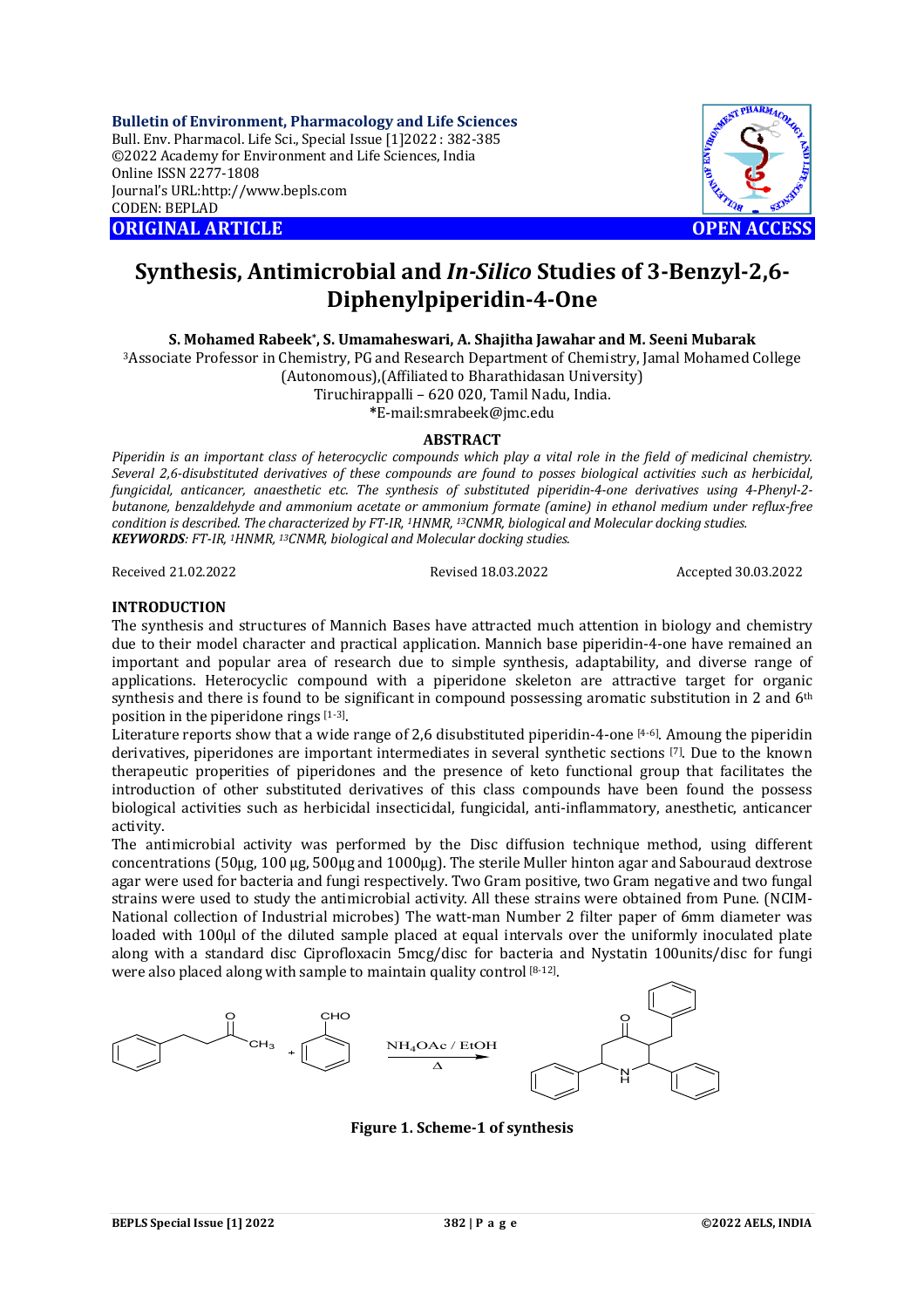**Bulletin of Environment, Pharmacology and Life Sciences** Bull. Env. Pharmacol. Life Sci., Special Issue [1]2022 : 382-385 ©2022 Academy for Environment and Life Sciences, India Online ISSN 2277-1808 Journal's URL:<http://www.bepls.com> CODEN: BEPLAD **ORIGINAL ARTICLE OPEN ACCESS** 



# **Synthesis, Antimicrobial and** *In-Silico* **Studies of 3-Benzyl-2,6- Diphenylpiperidin-4-One**

**S. Mohamed Rabeek\* , S. Umamaheswari, A. Shajitha Jawahar and M. Seeni Mubarak**

<sup>3</sup>Associate Professor in Chemistry, PG and Research Department of Chemistry, Jamal Mohamed College (Autonomous),(Affiliated to Bharathidasan University)

Tiruchirappalli – 620 020, Tamil Nadu, India.

**\***[E-mail:smrabeek@jmc.edu](mailto:E-mail:smrabeek@jmc.edu)

## **ABSTRACT**

*Piperidin is an important class of heterocyclic compounds which play a vital role in the field of medicinal chemistry. Several 2,6-disubstituted derivatives of these compounds are found to posses biological activities such as herbicidal, fungicidal, anticancer, anaesthetic etc. The synthesis of substituted piperidin-4-one derivatives using 4-Phenyl-2 butanone, benzaldehyde and ammonium acetate or ammonium formate (amine) in ethanol medium under reflux-free condition is described. The characterized by FT-IR, <sup>1</sup>HNMR, 13CNMR, biological and Molecular docking studies. KEYWORDS: FT-IR, 1HNMR, 13CNMR, biological and Molecular docking studies.*

Received 21.02.2022 Revised 18.03.2022 Accepted 30.03.2022

## **INTRODUCTION**

The synthesis and structures of Mannich Bases have attracted much attention in biology and chemistry due to their model character and practical application. Mannich base piperidin-4-one have remained an important and popular area of research due to simple synthesis, adaptability, and diverse range of applications. Heterocyclic compound with a piperidone skeleton are attractive target for organic synthesis and there is found to be significant in compound possessing aromatic substitution in 2 and 6<sup>th</sup> position in the piperidone rings [1-3].

Literature reports show that a wide range of 2,6 disubstituted piperidin-4-one [4-6]. Amoung the piperidin derivatives, piperidones are important intermediates in several synthetic sections [7]. Due to the known therapeutic properities of piperidones and the presence of keto functional group that facilitates the introduction of other substituted derivatives of this class compounds have been found the possess biological activities such as herbicidal insecticidal, fungicidal, anti-inflammatory, anesthetic, anticancer activity.

The antimicrobial activity was performed by the Disc diffusion technique method, using different concentrations (50μg, 100 μg, 500μg and 1000μg). The sterile Muller hinton agar and Sabouraud dextrose agar were used for bacteria and fungi respectively. Two Gram positive, two Gram negative and two fungal strains were used to study the antimicrobial activity. All these strains were obtained from Pune. (NCIM-National collection of Industrial microbes) The watt-man Number 2 filter paper of 6mm diameter was loaded with 100μl of the diluted sample placed at equal intervals over the uniformly inoculated plate along with a standard disc Ciprofloxacin 5mcg/disc for bacteria and Nystatin 100units/disc for fungi were also placed along with sample to maintain quality control [8-12].



**Figure 1. Scheme-1 of synthesis**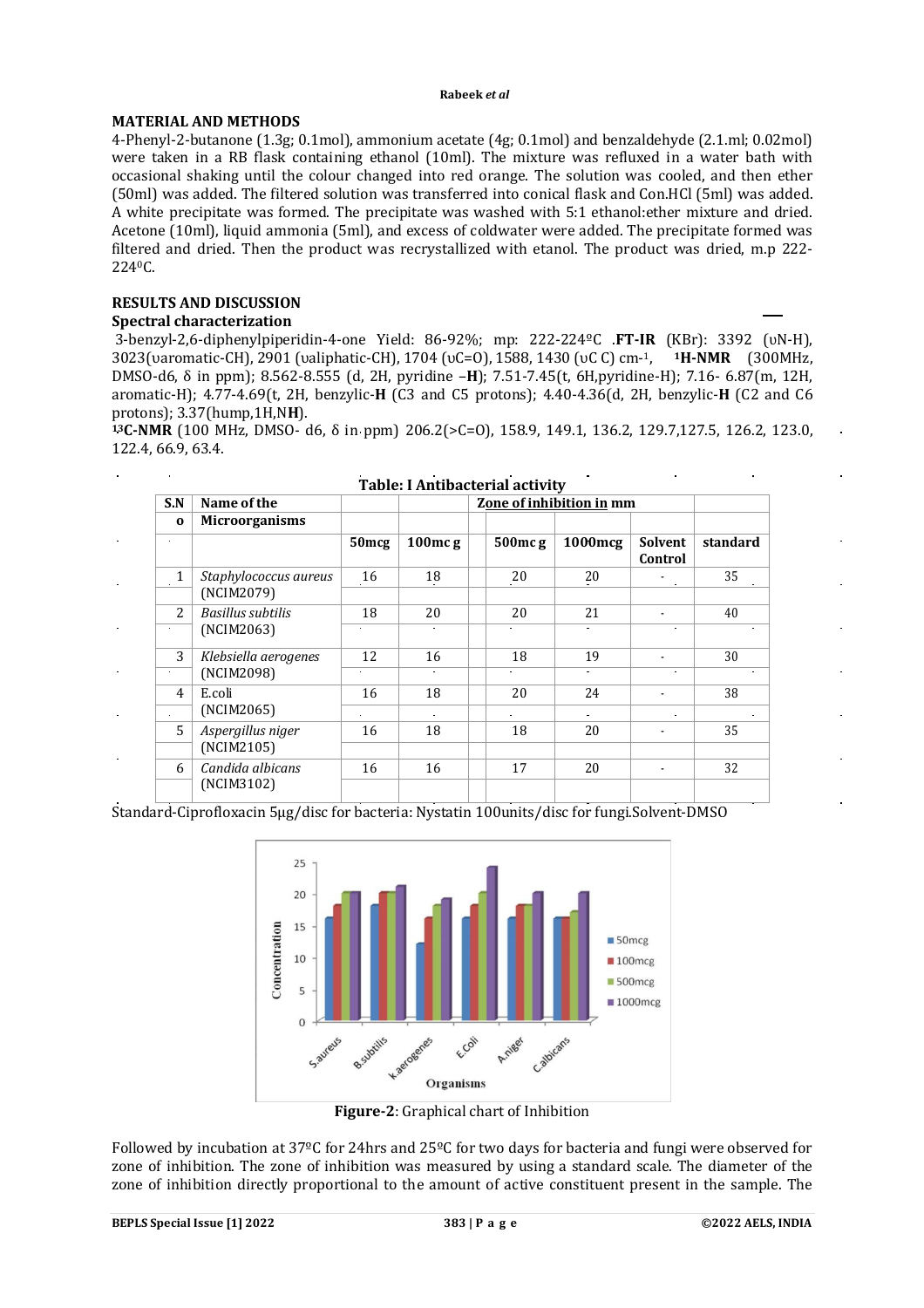#### **Rabeek** *et al*

## **MATERIAL AND METHODS**

4-Phenyl-2-butanone (1.3g; 0.1mol), ammonium acetate (4g; 0.1mol) and benzaldehyde (2.1.ml; 0.02mol) were taken in a RB flask containing ethanol (10ml). The mixture was refluxed in a water bath with occasional shaking until the colour changed into red orange. The solution was cooled, and then ether (50ml) was added. The filtered solution was transferred into conical flask and Con.HCl (5ml) was added. A white precipitate was formed. The precipitate was washed with 5:1 ethanol:ether mixture and dried. Acetone (10ml), liquid ammonia (5ml), and excess of coldwater were added. The precipitate formed was filtered and dried. Then the product was recrystallized with etanol. The product was dried, m.p 222- 2240C.

## **RESULTS AND DISCUSSION**

## **Spectral characterization**

 $\mathbf{r}$ 

3-benzyl-2,6-diphenylpiperidin-4-one Yield: 86-92%; mp: 222-224ºC .**FT-IR** (KBr): 3392 (ʋN-H), 3023(υaromatic-CH), 2901 (υaliphatic-CH), 1704 (υC=O), 1588, 1430 (υC C) cm-1, **<sup>1</sup>H-NMR** (300MHz, DMSO-d6, δ in ppm); 8.562-8.555 (d, 2H, pyridine –**H**); 7.51-7.45(t, 6H,pyridine-H); 7.16- 6.87(m, 12H, aromatic-H); 4.77-4.69(t, 2H, benzylic-**H** (C3 and C5 protons); 4.40-4.36(d, 2H, benzylic-**H** (C2 and C6 protons); 3.37(hump,1H,N**H**).

**<sup>13</sup>C-NMR** (100 MHz, DMSO- d6, δ in ppm) 206.2(>C=O), 158.9, 149.1, 136.2, 129.7,127.5, 126.2, 123.0, 122.4, 66.9, 63.4.

|                             |                                        |                          | <b>Table: I Antibacterial activity</b> |  |                |                |                    |          |
|-----------------------------|----------------------------------------|--------------------------|----------------------------------------|--|----------------|----------------|--------------------|----------|
| S.N                         | Name of the                            | Zone of inhibition in mm |                                        |  |                |                |                    |          |
| $\Omega$                    | <b>Microorganisms</b>                  |                          |                                        |  |                |                |                    |          |
| $\blacksquare$              |                                        | 50 <sub>mcg</sub>        | $100$ mcg                              |  | $500$ mcg      | 1000mcg        | Solvent<br>Control | standard |
| $\mathbf{1}$<br>$\bullet$ . | Staphylococcus aureus<br>(NCIM2079)    | 16                       | 18                                     |  | 20             | 20             |                    | 35       |
| $\overline{2}$              | <b>Basillus subtilis</b><br>(NCIM2063) | 18                       | 20                                     |  | 20             | 21             |                    | 40       |
| $\bullet$                   |                                        |                          |                                        |  |                |                |                    |          |
| 3                           | Klebsiella aerogenes                   | 12                       | 16                                     |  | 18             | 19             |                    | 30       |
| (NCIM2098)<br>$\bullet$     |                                        | $\bullet$                |                                        |  | $\blacksquare$ | $\blacksquare$ | $\bullet$          |          |
| $\overline{4}$              | E.coli                                 | 16                       | 18                                     |  | 20             | 24             |                    | 38       |
| $\blacksquare$              | (NCIM2065)                             |                          |                                        |  |                |                |                    |          |
| 5                           | Aspergillus niger<br>(NCIM2105)        | 16                       | 18                                     |  | 18             | 20             |                    | 35       |
| 6                           | Candida albicans                       | 16                       | 16                                     |  | 17             | 20             |                    | 32       |
|                             | (NCIM3102)                             |                          |                                        |  |                |                |                    |          |

Standard-Ciprofloxacin 5μg/disc for bacteria: Nystatin 100units/disc for fungi.Solvent-DMSO



**Figure-2**: Graphical chart of Inhibition

Followed by incubation at 37ºC for 24hrs and 25ºC for two days for bacteria and fungi were observed for zone of inhibition. The zone of inhibition was measured by using a standard scale. The diameter of the zone of inhibition directly proportional to the amount of active constituent present in the sample. The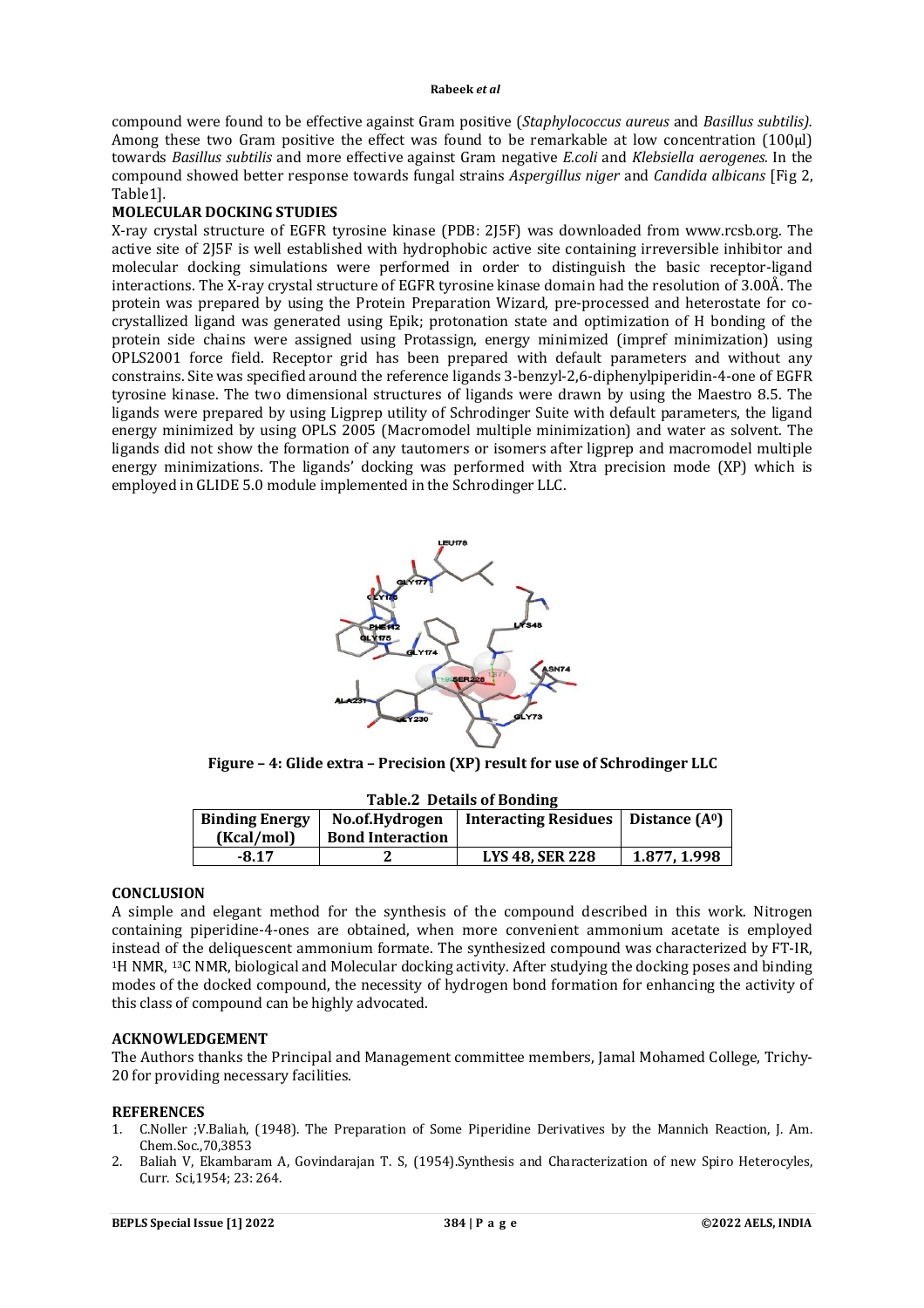#### **Rabeek** *et al*

compound were found to be effective against Gram positive (*Staphylococcus aureus* and *Basillus subtilis).* Among these two Gram positive the effect was found to be remarkable at low concentration (100μl) towards *Basillus subtilis* and more effective against Gram negative *E.coli* and *Klebsiella aerogenes.* In the compound showed better response towards fungal strains *Aspergillus niger* and *Candida albicans* [Fig 2, Table1]*.*

## **MOLECULAR DOCKING STUDIES**

X-ray crystal structure of EGFR tyrosine kinase (PDB: 2J5F) was downloaded from [www.rcsb.org.](http://www.rcsb.org.) The active site of 2J5F is well established with hydrophobic active site containing irreversible inhibitor and molecular docking simulations were performed in order to distinguish the basic receptor-ligand interactions. The X-ray crystal structure of EGFR tyrosine kinase domain had the resolution of 3.00Å. The protein was prepared by using the Protein Preparation Wizard, pre-processed and heterostate for cocrystallized ligand was generated using Epik; protonation state and optimization of H bonding of the protein side chains were assigned using Protassign, energy minimized (impref minimization) using OPLS2001 force field. Receptor grid has been prepared with default parameters and without any constrains. Site was specified around the reference ligands 3-benzyl-2,6-diphenylpiperidin-4-one of EGFR tyrosine kinase. The two dimensional structures of ligands were drawn by using the Maestro 8.5. The ligands were prepared by using Ligprep utility of Schrodinger Suite with default parameters, the ligand energy minimized by using OPLS 2005 (Macromodel multiple minimization) and water as solvent. The ligands did not show the formation of any tautomers or isomers after ligprep and macromodel multiple energy minimizations. The ligands' docking was performed with Xtra precision mode (XP) which is employed in GLIDE 5.0 module implemented in the Schrodinger LLC.



**Figure – 4: Glide extra – Precision (XP) result for use of Schrodinger LLC**

| rapie. Details of bolluing |                         |                             |                 |  |  |  |  |  |  |
|----------------------------|-------------------------|-----------------------------|-----------------|--|--|--|--|--|--|
| <b>Binding Energy</b>      | No.of.Hydrogen          | <b>Interacting Residues</b> | Distance $(A0)$ |  |  |  |  |  |  |
| (Kcal/mol)                 | <b>Bond Interaction</b> |                             |                 |  |  |  |  |  |  |
| $-8.17$                    |                         | <b>LYS 48. SER 228</b>      | 1.877, 1.998    |  |  |  |  |  |  |
|                            |                         |                             |                 |  |  |  |  |  |  |

## **Table.2 Details of Bonding**

## **CONCLUSION**

A simple and elegant method for the synthesis of the compound described in this work. Nitrogen containing piperidine-4-ones are obtained, when more convenient ammonium acetate is employed instead of the deliquescent ammonium formate. The synthesized compound was characterized by FT-IR, <sup>1</sup>H NMR, 13C NMR, biological and Molecular docking activity. After studying the docking poses and binding modes of the docked compound, the necessity of hydrogen bond formation for enhancing the activity of this class of compound can be highly advocated.

## **ACKNOWLEDGEMENT**

The Authors thanks the Principal and Management committee members, Jamal Mohamed College, Trichy-20 for providing necessary facilities.

### **REFERENCES**

- 1. C.Noller ;V.Baliah, (1948). The Preparation of Some Piperidine Derivatives by the Mannich Reaction, J. Am. Chem.Soc*.*,70,3853
- 2. Baliah V, Ekambaram A, Govindarajan T. S, (1954).Synthesis and Characterization of new Spiro Heterocyles, Curr. Sci*,*1954; 23: 264.